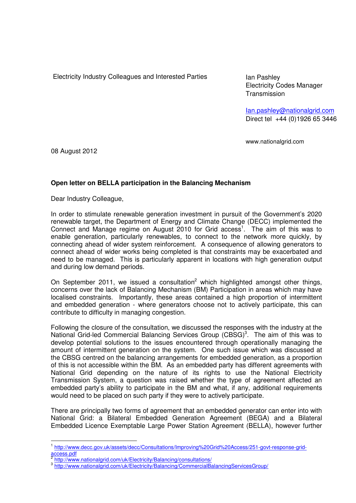Electricity Industry Colleagues and Interested Parties Ian Pashley

Electricity Codes Manager **Transmission** 

Ian.pashley@nationalgrid.com Direct tel +44 (0)1926 65 3446

www.nationalgrid.com

08 August 2012

 $\overline{a}$ 

## **Open letter on BELLA participation in the Balancing Mechanism**

Dear Industry Colleague,

In order to stimulate renewable generation investment in pursuit of the Government's 2020 renewable target, the Department of Energy and Climate Change (DECC) implemented the Connect and Manage regime on August 2010 for Grid access<sup>1</sup>. The aim of this was to enable generation, particularly renewables, to connect to the network more quickly, by connecting ahead of wider system reinforcement. A consequence of allowing generators to connect ahead of wider works being completed is that constraints may be exacerbated and need to be managed. This is particularly apparent in locations with high generation output and during low demand periods.

On September 2011, we issued a consultation<sup>2</sup> which highlighted amongst other things, concerns over the lack of Balancing Mechanism (BM) Participation in areas which may have localised constraints. Importantly, these areas contained a high proportion of intermittent and embedded generation - where generators choose not to actively participate, this can contribute to difficulty in managing congestion.

Following the closure of the consultation, we discussed the responses with the industry at the National Grid-led Commercial Balancing Services Group  $(CBSG)^3$ . The aim of this was to develop potential solutions to the issues encountered through operationally managing the amount of intermittent generation on the system. One such issue which was discussed at the CBSG centred on the balancing arrangements for embedded generation, as a proportion of this is not accessible within the BM. As an embedded party has different agreements with National Grid depending on the nature of its rights to use the National Electricity Transmission System, a question was raised whether the type of agreement affected an embedded party's ability to participate in the BM and what, if any, additional requirements would need to be placed on such party if they were to actively participate.

There are principally two forms of agreement that an embedded generator can enter into with National Grid: a Bilateral Embedded Generation Agreement (BEGA) and a Bilateral Embedded Licence Exemptable Large Power Station Agreement (BELLA), however further

<sup>&</sup>lt;sup>1</sup> http://www.decc.gov.uk/assets/decc/Consultations/Improving%20Grid%20Access/251-govt-response-gridaccess.pdf<br><sup>2</sup> http://www

http://www.nationalgrid.com/uk/Electricity/Balancing/consultations/

<sup>&</sup>lt;sup>3</sup> http://www.nationalgrid.com/uk/Electricity/Balancing/CommercialBalancingServicesGroup/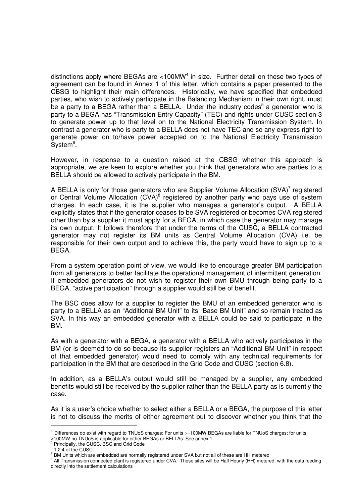distinctions apply where BEGAs are <100MW $4$  in size. Further detail on these two types of agreement can be found in Annex 1 of this letter, which contains a paper presented to the CBSG to highlight their main differences. Historically, we have specified that embedded parties, who wish to actively participate in the Balancing Mechanism in their own right, must be a party to a BEGA rather than a BELLA. Under the industry codes<sup>5</sup> a generator who is party to a BEGA has "Transmission Entry Capacity" (TEC) and rights under CUSC section 3 to generate power up to that level on to the National Electricity Transmission System. In contrast a generator who is party to a BELLA does not have TEC and so any express right to generate power on to/have power accepted on to the National Electricity Transmission  $System<sup>6</sup>$ .

However, in response to a question raised at the CBSG whether this approach is appropriate, we are keen to explore whether you think that generators who are parties to a BELLA should be allowed to actively participate in the BM.

A BELLA is only for those generators who are Supplier Volume Allocation  $(SVA)^7$  registered or Central Volume Allocation  $(CVA)^8$  registered by another party who pays use of system charges. In each case, it is the supplier who manages a generator's output. A BELLA explicitly states that if the generator ceases to be SVA registered or becomes CVA registered other than by a supplier it must apply for a BEGA, in which case the generator may manage its own output. It follows therefore that under the terms of the CUSC, a BELLA contracted generator may not register its BM units as Central Volume Allocation (CVA) i.e. be responsible for their own output and to achieve this, the party would have to sign up to a BEGA.

From a system operation point of view, we would like to encourage greater BM participation from all generators to better facilitate the operational management of intermittent generation. If embedded generators do not wish to register their own BMU through being party to a BEGA, "active participation" through a supplier would still be of benefit.

The BSC does allow for a supplier to register the BMU of an embedded generator who is party to a BELLA as an "Additional BM Unit" to its "Base BM Unit" and so remain treated as SVA. In this way an embedded generator with a BELLA could be said to participate in the BM.

As with a generator with a BEGA, a generator with a BELLA who actively participates in the BM (or is deemed to do so because its supplier registers an "Additional BM Unit" in respect of that embedded generator) would need to comply with any technical requirements for participation in the BM that are described in the Grid Code and CUSC (section 6.8).

In addition, as a BELLA's output would still be managed by a supplier, any embedded benefits would still be received by the supplier rather than the BELLA party as is currently the case.

As it is a user's choice whether to select either a BELLA or a BEGA, the purpose of this letter is not to discuss the merits of either agreement but to discover whether you think that the

Principally, the CUSC, BSC and Grid Code

 $\overline{a}$ 

<sup>&</sup>lt;sup>4</sup> Differences do exist with regard to TNUoS charges: For units >=100MW BEGAs are liable for TNUoS charges; for units

<sup>&</sup>lt;100MW no TNUoS is applicable for either BEGAs or BELLAs. See annex 1.<br><sup>5</sup> Principally, the CUSC, BSC and Grid Code.

<sup>&</sup>lt;sup>6</sup> 1.2.4 of the CUSC

 $^7$  BM Units which are embedded are normally registered under SVA but not all of these are HH metered

<sup>&</sup>lt;sup>8</sup> All Transmission connected plant is registered under CVA. These sites will be Half Hourly (HH) metered, with the data feeding directly into the settlement calculations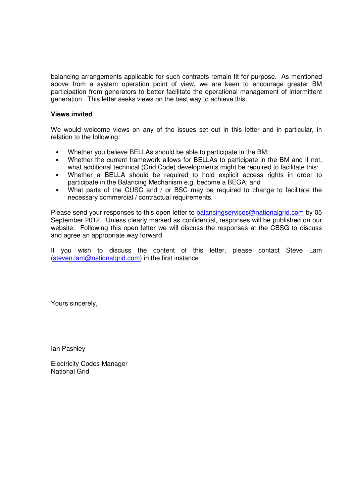balancing arrangements applicable for such contracts remain fit for purpose. As mentioned above from a system operation point of view, we are keen to encourage greater BM participation from generators to better facilitate the operational management of intermittent generation. This letter seeks views on the best way to achieve this.

## **Views invited**

We would welcome views on any of the issues set out in this letter and in particular, in relation to the following:

- Whether you believe BELLAs should be able to participate in the BM;
- Whether the current framework allows for BELLAs to participate in the BM and if not, what additional technical (Grid Code) developments might be required to facilitate this;
- Whether a BELLA should be required to hold explicit access rights in order to participate in the Balancing Mechanism e.g. become a BEGA; and
- What parts of the CUSC and / or BSC may be required to change to facilitate the necessary commercial / contractual requirements.

Please send your responses to this open letter to balancingservices@nationalgrid.com by 05 September 2012. Unless clearly marked as confidential, responses will be published on our website. Following this open letter we will discuss the responses at the CBSG to discuss and agree an appropriate way forward.

If you wish to discuss the content of this letter, please contact Steve Lam (steven.lam@nationalgrid.com) in the first instance

Yours sincerely,

Ian Pashley

Electricity Codes Manager National Grid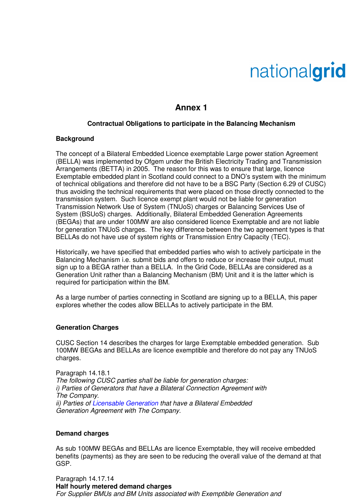# nationalgrid

# **Annex 1**

### **Contractual Obligations to participate in the Balancing Mechanism**

#### **Background**

The concept of a Bilateral Embedded Licence exemptable Large power station Agreement (BELLA) was implemented by Ofgem under the British Electricity Trading and Transmission Arrangements (BETTA) in 2005. The reason for this was to ensure that large, licence Exemptable embedded plant in Scotland could connect to a DNO's system with the minimum of technical obligations and therefore did not have to be a BSC Party (Section 6.29 of CUSC) thus avoiding the technical requirements that were placed on those directly connected to the transmission system. Such licence exempt plant would not be liable for generation Transmission Network Use of System (TNUoS) charges or Balancing Services Use of System (BSUoS) charges. Additionally, Bilateral Embedded Generation Agreements (BEGAs) that are under 100MW are also considered licence Exemptable and are not liable for generation TNUoS charges. The key difference between the two agreement types is that BELLAs do not have use of system rights or Transmission Entry Capacity (TEC).

Historically, we have specified that embedded parties who wish to actively participate in the Balancing Mechanism i.e. submit bids and offers to reduce or increase their output, must sign up to a BEGA rather than a BELLA. In the Grid Code, BELLAs are considered as a Generation Unit rather than a Balancing Mechanism (BM) Unit and it is the latter which is required for participation within the BM.

As a large number of parties connecting in Scotland are signing up to a BELLA, this paper explores whether the codes allow BELLAs to actively participate in the BM.

#### **Generation Charges**

CUSC Section 14 describes the charges for large Exemptable embedded generation. Sub 100MW BEGAs and BELLAs are licence exemptible and therefore do not pay any TNUoS charges.

Paragraph 14.18.1 The following CUSC parties shall be liable for generation charges: i) Parties of Generators that have a Bilateral Connection Agreement with The Company. ii) Parties of Licensable Generation that have a Bilateral Embedded Generation Agreement with The Company.

#### **Demand charges**

As sub 100MW BEGAs and BELLAs are licence Exemptable, they will receive embedded benefits (payments) as they are seen to be reducing the overall value of the demand at that GSP.

Paragraph 14.17.14 **Half hourly metered demand charges**  For Supplier BMUs and BM Units associated with Exemptible Generation and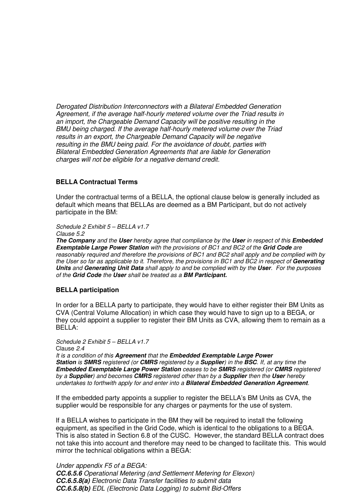Derogated Distribution Interconnectors with a Bilateral Embedded Generation Agreement, if the average half-hourly metered volume over the Triad results in an import, the Chargeable Demand Capacity will be positive resulting in the BMU being charged. If the average half-hourly metered volume over the Triad results in an export, the Chargeable Demand Capacity will be negative resulting in the BMU being paid. For the avoidance of doubt, parties with Bilateral Embedded Generation Agreements that are liable for Generation charges will not be eligible for a negative demand credit.

#### **BELLA Contractual Terms**

Under the contractual terms of a BELLA, the optional clause below is generally included as default which means that BELLAs are deemed as a BM Participant, but do not actively participate in the BM:

Schedule 2 Exhibit 5 – BELLA v1.7

Clause 5.2

**The Company** and the **User** hereby agree that compliance by the **User** in respect of this **Embedded Exemptable Large Power Station** with the provisions of BC1 and BC2 of the **Grid Code** are reasonably required and therefore the provisions of BC1 and BC2 shall apply and be complied with by the User so far as applicable to it. Therefore, the provisions in BC1 and BC2 in respect of **Generating Units** and **Generating Unit Data** shall apply to and be complied with by the **User**. For the purposes of the **Grid Code** the **User** shall be treated as a **BM Participant.** 

## **BELLA participation**

In order for a BELLA party to participate, they would have to either register their BM Units as CVA (Central Volume Allocation) in which case they would have to sign up to a BEGA, or they could appoint a supplier to register their BM Units as CVA, allowing them to remain as a BELLA:

Schedule 2 Exhibit 5 – BELLA v1.7 Clause 2.4 It is a condition of this **Agreement** that the **Embedded Exemptable Large Power Station** is **SMRS** registered (or **CMRS** registered by a **Supplier**) in the **BSC**. If, at any time the **Embedded Exemptable Large Power Station** ceases to be **SMRS** registered (or **CMRS** registered by a **Supplier**) and becomes **CMRS** registered other than by a **Supplier** then the **User** hereby undertakes to forthwith apply for and enter into a **Bilateral Embedded Generation Agreement**.

If the embedded party appoints a supplier to register the BELLA's BM Units as CVA, the supplier would be responsible for any charges or payments for the use of system.

If a BELLA wishes to participate in the BM they will be required to install the following equipment, as specified in the Grid Code, which is identical to the obligations to a BEGA. This is also stated in Section 6.8 of the CUSC. However, the standard BELLA contract does not take this into account and therefore may need to be changed to facilitate this. This would mirror the technical obligations within a BEGA:

Under appendix F5 of a BEGA: **CC.6.5.6** Operational Metering (and Settlement Metering for Elexon) **CC.6.5.8(a)** Electronic Data Transfer facilities to submit data **CC.6.5.8(b)** EDL (Electronic Data Logging) to submit Bid-Offers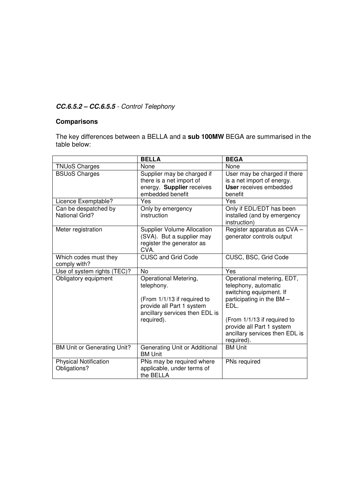# **CC.6.5.2 – CC.6.5.5** - Control Telephony

# **Comparisons**

The key differences between a BELLA and a **sub 100MW** BEGA are summarised in the table below:

|                                               | <b>BELLA</b>                                                                                                                                    | <b>BEGA</b>                                                                                                                                                                    |
|-----------------------------------------------|-------------------------------------------------------------------------------------------------------------------------------------------------|--------------------------------------------------------------------------------------------------------------------------------------------------------------------------------|
| <b>TNUoS Charges</b>                          | None                                                                                                                                            | None                                                                                                                                                                           |
| <b>BSUoS Charges</b>                          | Supplier may be charged if<br>there is a net import of<br>energy. Supplier receives<br>embedded benefit                                         | User may be charged if there<br>is a net import of energy.<br><b>User</b> receives embedded<br>benefit                                                                         |
| Licence Exemptable?                           | Yes                                                                                                                                             | Yes                                                                                                                                                                            |
| Can be despatched by<br><b>National Grid?</b> | Only by emergency<br>instruction                                                                                                                | Only if EDL/EDT has been<br>installed (and by emergency<br>instruction)                                                                                                        |
| Meter registration                            | <b>Supplier Volume Allocation</b><br>(SVA). But a supplier may<br>register the generator as<br>CVA.                                             | Register apparatus as CVA -<br>generator controls output                                                                                                                       |
| Which codes must they<br>comply with?         | <b>CUSC and Grid Code</b>                                                                                                                       | CUSC, BSC, Grid Code                                                                                                                                                           |
| Use of system rights (TEC)?                   | <b>No</b>                                                                                                                                       | Yes                                                                                                                                                                            |
| Obligatory equipment                          | Operational Metering,<br>telephony.<br>(From 1/1/13 if required to<br>provide all Part 1 system<br>ancillary services then EDL is<br>required). | Operational metering, EDT,<br>telephony, automatic<br>switching equipment. If<br>participating in the BM -<br>EDL.<br>(From 1/1/13 if required to<br>provide all Part 1 system |
|                                               |                                                                                                                                                 | ancillary services then EDL is<br>required).                                                                                                                                   |
| <b>BM Unit or Generating Unit?</b>            | Generating Unit or Additional<br><b>BM Unit</b>                                                                                                 | <b>BM Unit</b>                                                                                                                                                                 |
| <b>Physical Notification</b><br>Obligations?  | PNs may be required where<br>applicable, under terms of<br>the BELLA                                                                            | PNs required                                                                                                                                                                   |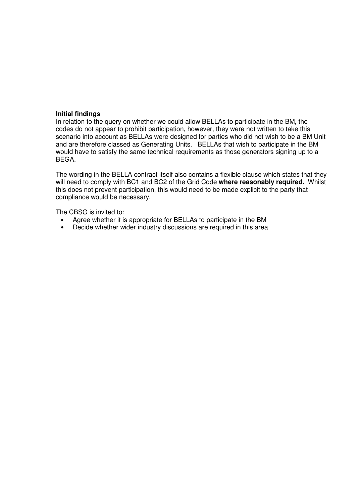## **Initial findings**

In relation to the query on whether we could allow BELLAs to participate in the BM, the codes do not appear to prohibit participation, however, they were not written to take this scenario into account as BELLAs were designed for parties who did not wish to be a BM Unit and are therefore classed as Generating Units. BELLAs that wish to participate in the BM would have to satisfy the same technical requirements as those generators signing up to a BEGA.

The wording in the BELLA contract itself also contains a flexible clause which states that they will need to comply with BC1 and BC2 of the Grid Code **where reasonably required.** Whilst this does not prevent participation, this would need to be made explicit to the party that compliance would be necessary.

The CBSG is invited to:

- Agree whether it is appropriate for BELLAs to participate in the BM
- Decide whether wider industry discussions are required in this area